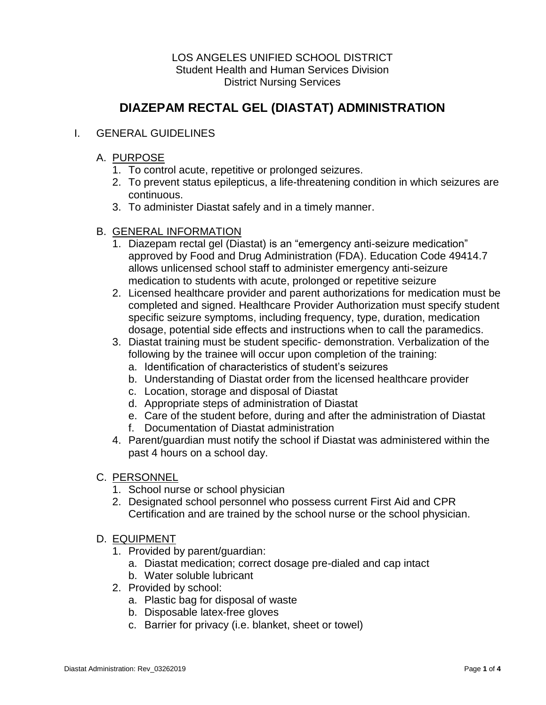## LOS ANGELES UNIFIED SCHOOL DISTRICT Student Health and Human Services Division District Nursing Services

# **DIAZEPAM RECTAL GEL (DIASTAT) ADMINISTRATION**

## I. GENERAL GUIDELINES

## A. PURPOSE

- 1. To control acute, repetitive or prolonged seizures.
- 2. To prevent status epilepticus, a life-threatening condition in which seizures are continuous.
- 3. To administer Diastat safely and in a timely manner.

## B. GENERAL INFORMATION

- 1. Diazepam rectal gel (Diastat) is an "emergency anti-seizure medication" approved by Food and Drug Administration (FDA). Education Code 49414.7 allows unlicensed school staff to administer emergency anti-seizure medication to students with acute, prolonged or repetitive seizure
- 2. Licensed healthcare provider and parent authorizations for medication must be completed and signed. Healthcare Provider Authorization must specify student specific seizure symptoms, including frequency, type, duration, medication dosage, potential side effects and instructions when to call the paramedics.
- 3. Diastat training must be student specific- demonstration. Verbalization of the following by the trainee will occur upon completion of the training:
	- a. Identification of characteristics of student's seizures
	- b. Understanding of Diastat order from the licensed healthcare provider
	- c. Location, storage and disposal of Diastat
	- d. Appropriate steps of administration of Diastat
	- e. Care of the student before, during and after the administration of Diastat
	- f. Documentation of Diastat administration
- 4. Parent/guardian must notify the school if Diastat was administered within the past 4 hours on a school day.

## C. PERSONNEL

- 1. School nurse or school physician
- 2. Designated school personnel who possess current First Aid and CPR Certification and are trained by the school nurse or the school physician.

## D. EQUIPMENT

- 1. Provided by parent/guardian:
	- a. Diastat medication; correct dosage pre-dialed and cap intact
	- b. Water soluble lubricant
- 2. Provided by school:
	- a. Plastic bag for disposal of waste
	- b. Disposable latex-free gloves
	- c. Barrier for privacy (i.e. blanket, sheet or towel)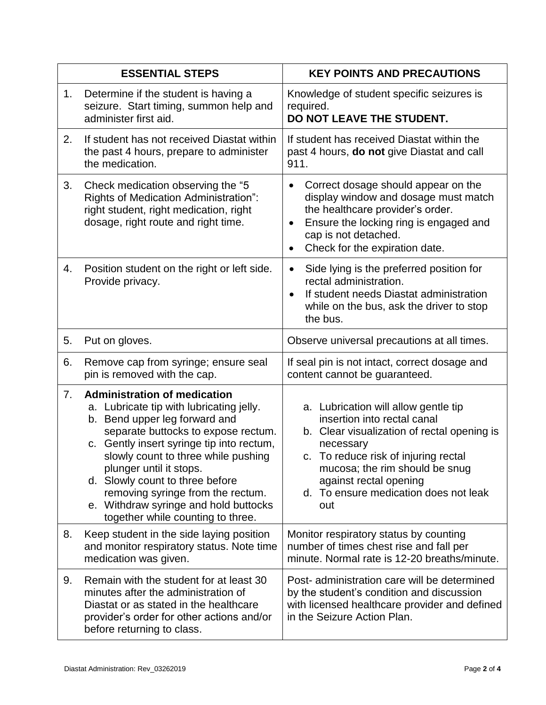| <b>ESSENTIAL STEPS</b> |                                                                                                                                                                                                                                                                                                                                                                                                                              | <b>KEY POINTS AND PRECAUTIONS</b>                                                                                                                                                                                                                                                   |
|------------------------|------------------------------------------------------------------------------------------------------------------------------------------------------------------------------------------------------------------------------------------------------------------------------------------------------------------------------------------------------------------------------------------------------------------------------|-------------------------------------------------------------------------------------------------------------------------------------------------------------------------------------------------------------------------------------------------------------------------------------|
| 1.                     | Determine if the student is having a<br>seizure. Start timing, summon help and<br>administer first aid.                                                                                                                                                                                                                                                                                                                      | Knowledge of student specific seizures is<br>required.<br>DO NOT LEAVE THE STUDENT.                                                                                                                                                                                                 |
| 2.                     | If student has not received Diastat within<br>the past 4 hours, prepare to administer<br>the medication.                                                                                                                                                                                                                                                                                                                     | If student has received Diastat within the<br>past 4 hours, <b>do not</b> give Diastat and call<br>911.                                                                                                                                                                             |
| 3.                     | Check medication observing the "5<br>Rights of Medication Administration":<br>right student, right medication, right<br>dosage, right route and right time.                                                                                                                                                                                                                                                                  | Correct dosage should appear on the<br>$\bullet$<br>display window and dosage must match<br>the healthcare provider's order.<br>Ensure the locking ring is engaged and<br>cap is not detached.<br>Check for the expiration date.                                                    |
| 4.                     | Position student on the right or left side.<br>Provide privacy.                                                                                                                                                                                                                                                                                                                                                              | Side lying is the preferred position for<br>$\bullet$<br>rectal administration.<br>If student needs Diastat administration<br>while on the bus, ask the driver to stop<br>the bus.                                                                                                  |
| 5.                     | Put on gloves.                                                                                                                                                                                                                                                                                                                                                                                                               | Observe universal precautions at all times.                                                                                                                                                                                                                                         |
| 6.                     | Remove cap from syringe; ensure seal<br>pin is removed with the cap.                                                                                                                                                                                                                                                                                                                                                         | If seal pin is not intact, correct dosage and<br>content cannot be guaranteed.                                                                                                                                                                                                      |
| 7.                     | <b>Administration of medication</b><br>a. Lubricate tip with lubricating jelly.<br>b. Bend upper leg forward and<br>separate buttocks to expose rectum.<br>c. Gently insert syringe tip into rectum,<br>slowly count to three while pushing<br>plunger until it stops.<br>d. Slowly count to three before<br>removing syringe from the rectum.<br>e. Withdraw syringe and hold buttocks<br>together while counting to three. | a. Lubrication will allow gentle tip<br>insertion into rectal canal<br>b. Clear visualization of rectal opening is<br>necessary<br>c. To reduce risk of injuring rectal<br>mucosa; the rim should be snug<br>against rectal opening<br>d. To ensure medication does not leak<br>out |
| 8.                     | Keep student in the side laying position<br>and monitor respiratory status. Note time<br>medication was given.                                                                                                                                                                                                                                                                                                               | Monitor respiratory status by counting<br>number of times chest rise and fall per<br>minute. Normal rate is 12-20 breaths/minute.                                                                                                                                                   |
| 9.                     | Remain with the student for at least 30<br>minutes after the administration of<br>Diastat or as stated in the healthcare<br>provider's order for other actions and/or<br>before returning to class.                                                                                                                                                                                                                          | Post- administration care will be determined<br>by the student's condition and discussion<br>with licensed healthcare provider and defined<br>in the Seizure Action Plan.                                                                                                           |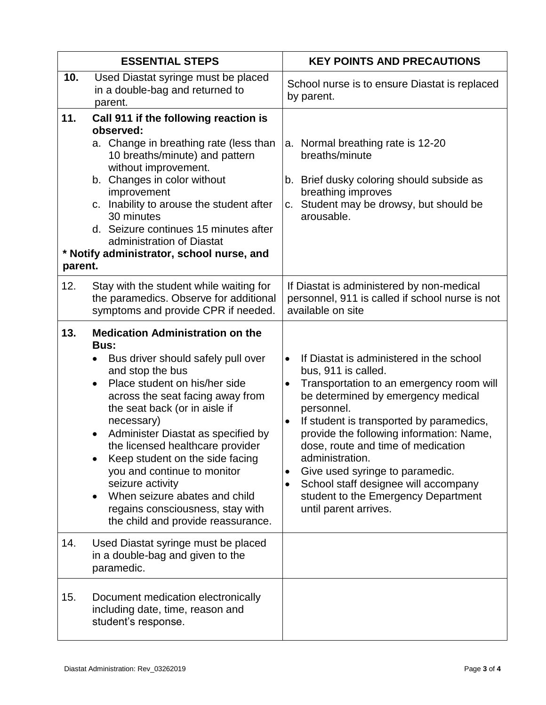|                | <b>ESSENTIAL STEPS</b>                                                                                                                                                                                                                                                                                                                                                                                                                                                                                                             | <b>KEY POINTS AND PRECAUTIONS</b>                                                                                                                                                                                                                                                                                                                                                                                                                                                                                            |
|----------------|------------------------------------------------------------------------------------------------------------------------------------------------------------------------------------------------------------------------------------------------------------------------------------------------------------------------------------------------------------------------------------------------------------------------------------------------------------------------------------------------------------------------------------|------------------------------------------------------------------------------------------------------------------------------------------------------------------------------------------------------------------------------------------------------------------------------------------------------------------------------------------------------------------------------------------------------------------------------------------------------------------------------------------------------------------------------|
| 10.            | Used Diastat syringe must be placed<br>in a double-bag and returned to<br>parent.                                                                                                                                                                                                                                                                                                                                                                                                                                                  | School nurse is to ensure Diastat is replaced<br>by parent.                                                                                                                                                                                                                                                                                                                                                                                                                                                                  |
| 11.<br>parent. | Call 911 if the following reaction is<br>observed:<br>a. Change in breathing rate (less than<br>10 breaths/minute) and pattern<br>without improvement.<br>b. Changes in color without<br>improvement<br>c. Inability to arouse the student after<br>30 minutes<br>d. Seizure continues 15 minutes after<br>administration of Diastat<br>* Notify administrator, school nurse, and                                                                                                                                                  | a. Normal breathing rate is 12-20<br>breaths/minute<br>b. Brief dusky coloring should subside as<br>breathing improves<br>Student may be drowsy, but should be<br>C.<br>arousable.                                                                                                                                                                                                                                                                                                                                           |
| 12.            | Stay with the student while waiting for<br>the paramedics. Observe for additional<br>symptoms and provide CPR if needed.                                                                                                                                                                                                                                                                                                                                                                                                           | If Diastat is administered by non-medical<br>personnel, 911 is called if school nurse is not<br>available on site                                                                                                                                                                                                                                                                                                                                                                                                            |
| 13.            | <b>Medication Administration on the</b><br>Bus:<br>Bus driver should safely pull over<br>$\bullet$<br>and stop the bus<br>Place student on his/her side<br>$\bullet$<br>across the seat facing away from<br>the seat back (or in aisle if<br>necessary)<br>Administer Diastat as specified by<br>the licensed healthcare provider<br>Keep student on the side facing<br>you and continue to monitor<br>seizure activity<br>When seizure abates and child<br>regains consciousness, stay with<br>the child and provide reassurance. | If Diastat is administered in the school<br>$\bullet$<br>bus, 911 is called.<br>Transportation to an emergency room will<br>$\bullet$<br>be determined by emergency medical<br>personnel.<br>If student is transported by paramedics,<br>$\bullet$<br>provide the following information: Name,<br>dose, route and time of medication<br>administration.<br>Give used syringe to paramedic.<br>$\bullet$<br>School staff designee will accompany<br>$\bullet$<br>student to the Emergency Department<br>until parent arrives. |
| 14.            | Used Diastat syringe must be placed<br>in a double-bag and given to the<br>paramedic.                                                                                                                                                                                                                                                                                                                                                                                                                                              |                                                                                                                                                                                                                                                                                                                                                                                                                                                                                                                              |
| 15.            | Document medication electronically<br>including date, time, reason and<br>student's response.                                                                                                                                                                                                                                                                                                                                                                                                                                      |                                                                                                                                                                                                                                                                                                                                                                                                                                                                                                                              |